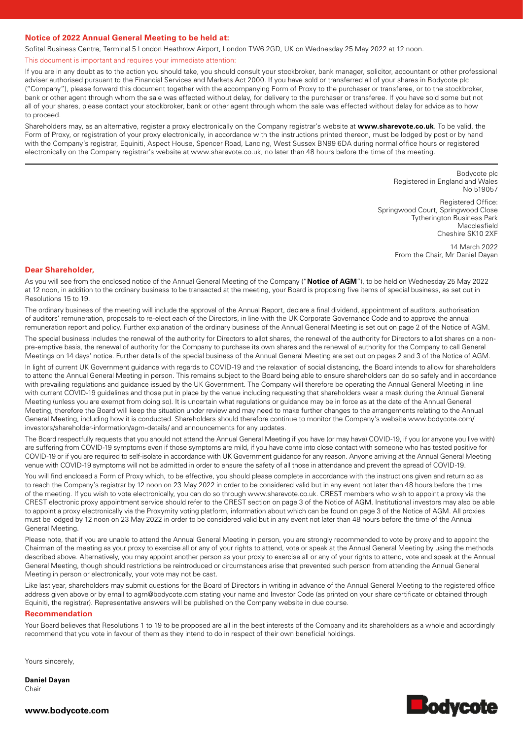# **Notice of 2022 Annual General Meeting to be held at:**

Sofitel Business Centre, Terminal 5 London Heathrow Airport, London TW6 2GD, UK on Wednesday 25 May 2022 at 12 noon.

This document is important and requires your immediate attention:

If you are in any doubt as to the action you should take, you should consult your stockbroker, bank manager, solicitor, accountant or other professional adviser authorised pursuant to the Financial Services and Markets Act 2000. If you have sold or transferred all of your shares in Bodycote plc ("Company"), please forward this document together with the accompanying Form of Proxy to the purchaser or transferee, or to the stockbroker, bank or other agent through whom the sale was effected without delay, for delivery to the purchaser or transferee. If you have sold some but not all of your shares, please contact your stockbroker, bank or other agent through whom the sale was effected without delay for advice as to how to proceed.

Shareholders may, as an alternative, register a proxy electronically on the Company registrar's website at **www.sharevote.co.uk**. To be valid, the Form of Proxy, or registration of your proxy electronically, in accordance with the instructions printed thereon, must be lodged by post or by hand with the Company's registrar, Equiniti, Aspect House, Spencer Road, Lancing, West Sussex BN99 6DA during normal office hours or registered electronically on the Company registrar's website at www.sharevote.co.uk, no later than 48 hours before the time of the meeting.

> Bodycote plc Registered in England and Wales No 519057 Registered Office: Springwood Court, Springwood Close Tytherington Business Park Macclesfield

Cheshire SK10 2XF 14 March 2022

From the Chair, Mr Daniel Dayan

## **Dear Shareholder,**

As you will see from the enclosed notice of the Annual General Meeting of the Company ("**Notice of AGM**"), to be held on Wednesday 25 May 2022 at 12 noon, in addition to the ordinary business to be transacted at the meeting, your Board is proposing five items of special business, as set out in Resolutions 15 to 19.

The ordinary business of the meeting will include the approval of the Annual Report, declare a final dividend, appointment of auditors, authorisation of auditors' remuneration, proposals to re-elect each of the Directors, in line with the UK Corporate Governance Code and to approve the annual remuneration report and policy. Further explanation of the ordinary business of the Annual General Meeting is set out on page 2 of the Notice of AGM.

The special business includes the renewal of the authority for Directors to allot shares, the renewal of the authority for Directors to allot shares on a nonpre-emptive basis, the renewal of authority for the Company to purchase its own shares and the renewal of authority for the Company to call General Meetings on 14 days' notice. Further details of the special business of the Annual General Meeting are set out on pages 2 and 3 of the Notice of AGM.

In light of current UK Government guidance with regards to COVID-19 and the relaxation of social distancing, the Board intends to allow for shareholders to attend the Annual General Meeting in person. This remains subject to the Board being able to ensure shareholders can do so safely and in accordance with prevailing regulations and guidance issued by the UK Government. The Company will therefore be operating the Annual General Meeting in line with current COVID-19 guidelines and those put in place by the venue including requesting that shareholders wear a mask during the Annual General Meeting (unless you are exempt from doing so). It is uncertain what regulations or guidance may be in force as at the date of the Annual General Meeting, therefore the Board will keep the situation under review and may need to make further changes to the arrangements relating to the Annual General Meeting, including how it is conducted. Shareholders should therefore continue to monitor the Company's website www.bodycote.com/ investors/shareholder-information/agm-details/ and announcements for any updates.

The Board respectfully requests that you should not attend the Annual General Meeting if you have (or may have) COVID-19, if you (or anyone you live with) are suffering from COVID-19 symptoms even if those symptoms are mild, if you have come into close contact with someone who has tested positive for COVID-19 or if you are required to self-isolate in accordance with UK Government guidance for any reason. Anyone arriving at the Annual General Meeting venue with COVID-19 symptoms will not be admitted in order to ensure the safety of all those in attendance and prevent the spread of COVID-19.

You will find enclosed a Form of Proxy which, to be effective, you should please complete in accordance with the instructions given and return so as to reach the Company's registrar by 12 noon on 23 May 2022 in order to be considered valid but in any event not later than 48 hours before the time of the meeting. If you wish to vote electronically, you can do so through www.sharevote.co.uk. CREST members who wish to appoint a proxy via the CREST electronic proxy appointment service should refer to the CREST section on page 3 of the Notice of AGM. Institutional investors may also be able to appoint a proxy electronically via the Proxymity voting platform, information about which can be found on page 3 of the Notice of AGM. All proxies must be lodged by 12 noon on 23 May 2022 in order to be considered valid but in any event not later than 48 hours before the time of the Annual General Meeting.

Please note, that if you are unable to attend the Annual General Meeting in person, you are strongly recommended to vote by proxy and to appoint the Chairman of the meeting as your proxy to exercise all or any of your rights to attend, vote or speak at the Annual General Meeting by using the methods described above. Alternatively, you may appoint another person as your proxy to exercise all or any of your rights to attend, vote and speak at the Annual General Meeting, though should restrictions be reintroduced or circumstances arise that prevented such person from attending the Annual General Meeting in person or electronically, your vote may not be cast.

Like last year, shareholders may submit questions for the Board of Directors in writing in advance of the Annual General Meeting to the registered office address given above or by email to agm@bodycote.com stating your name and Investor Code (as printed on your share certificate or obtained through Equiniti, the registrar). Representative answers will be published on the Company website in due course.

## **Recommendation**

Your Board believes that Resolutions 1 to 19 to be proposed are all in the best interests of the Company and its shareholders as a whole and accordingly recommend that you vote in favour of them as they intend to do in respect of their own beneficial holdings.

Yours sincerely,

**Daniel Dayan** Chair



**www.bodycote.com**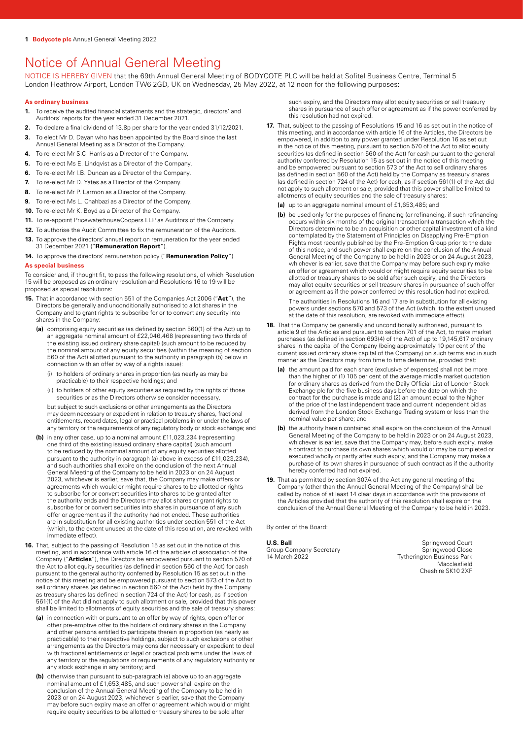# Notice of Annual General Meeting

NOTICE IS HEREBY GIVEN that the 69th Annual General Meeting of BODYCOTE PLC will be held at Sofitel Business Centre, Terminal 5 London Heathrow Airport, London TW6 2GD, UK on Wednesday, 25 May 2022, at 12 noon for the following purposes:

## **As ordinary business**

- **1.** To receive the audited financial statements and the strategic, directors' and Auditors' reports for the year ended 31 December 2021.
- **2.** To declare a final dividend of 13.8p per share for the year ended 31/12/2021.
- **3.** To elect Mr D. Dayan who has been appointed by the Board since the last Annual General Meeting as a Director of the Company.
- **4.** To re-elect Mr S.C. Harris as a Director of the Company.
- **5.** To re-elect Ms E. Lindqvist as a Director of the Company.
- **6.** To re-elect Mr I.B. Duncan as a Director of the Company.
- **7.** To re-elect Mr D. Yates as a Director of the Company.
- **8.** To re-elect Mr P. Larmon as a Director of the Company.
- **9.** To re-elect Ms L. Chahbazi as a Director of the Company.
- **10.** To re-elect Mr K. Boyd as a Director of the Company.
- **11.** To re-appoint PricewaterhouseCoopers LLP as Auditors of the Company.
- **12.** To authorise the Audit Committee to fix the remuneration of the Auditors. **13.** To approve the directors' annual report on remuneration for the year ended
- 31 December 2021 ("**Remuneration Report**").

## **14.** To approve the directors' remuneration policy ("**Remuneration Policy**")

## **As special business**

To consider and, if thought fit, to pass the following resolutions, of which Resolution 15 will be proposed as an ordinary resolution and Resolutions 16 to 19 will be proposed as special resolutions:

- **15.** That in accordance with section 551 of the Companies Act 2006 ("**Act**"), the Directors be generally and unconditionally authorised to allot shares in the Company and to grant rights to subscribe for or to convert any security into shares in the Company:
	- **(a)** comprising equity securities (as defined by section 560(1) of the Act) up to an aggregate nominal amount of £22,046,468 (representing two thirds of the existing issued ordinary share capital) (such amount to be reduced by the nominal amount of any equity securities (within the meaning of section 560 of the Act) allotted pursuant to the authority in paragraph (b) below in connection with an offer by way of a rights issue):
		- (i) to holders of ordinary shares in proportion (as nearly as may be practicable) to their respective holdings; and
		- (ii) to holders of other equity securities as required by the rights of those securities or as the Directors otherwise consider necessary,

but subject to such exclusions or other arrangements as the Directors may deem necessary or expedient in relation to treasury shares, fractional entitlements, record dates, legal or practical problems in or under the laws of any territory or the requirements of any regulatory body or stock exchange; and

- **(b)** in any other case, up to a nominal amount £11,023,234 (representing one third of the existing issued ordinary share capital) (such amount to be reduced by the nominal amount of any equity securities allotted pursuant to the authority in paragraph (a) above in excess of £11,023,234), and such authorities shall expire on the conclusion of the next Annual General Meeting of the Company to be held in 2023 or on 24 August 2023, whichever is earlier, save that, the Company may make offers or agreements which would or might require shares to be allotted or rights to subscribe for or convert securities into shares to be granted after the authority ends and the Directors may allot shares or grant rights to subscribe for or convert securities into shares in pursuance of any such offer or agreement as if the authority had not ended. These authorities are in substitution for all existing authorities under section 551 of the Act (which, to the extent unused at the date of this resolution, are revoked with immediate effect).
- **16.** That, subject to the passing of Resolution 15 as set out in the notice of this meeting, and in accordance with article 16 of the articles of association of the Company ("**Articles**"), the Directors be empowered pursuant to section 570 of the Act to allot equity securities (as defined in section 560 of the Act) for cash pursuant to the general authority conferred by Resolution 15 as set out in the notice of this meeting and be empowered pursuant to section 573 of the Act to sell ordinary shares (as defined in section 560 of the Act) held by the Company as treasury shares (as defined in section 724 of the Act) for cash, as if section 561(1) of the Act did not apply to such allotment or sale, provided that this power shall be limited to allotments of equity securities and the sale of treasury shares:
	- **(a)** in connection with or pursuant to an offer by way of rights, open offer or other pre-emptive offer to the holders of ordinary shares in the Company and other persons entitled to participate therein in proportion (as nearly as practicable) to their respective holdings, subject to such exclusions or other arrangements as the Directors may consider necessary or expedient to deal with fractional entitlements or legal or practical problems under the laws of any territory or the regulations or requirements of any regulatory authority or any stock exchange in any territory; and
	- **(b)** otherwise than pursuant to sub-paragraph (a) above up to an aggregate nominal amount of £1,653,485, and such power shall expire on the conclusion of the Annual General Meeting of the Company to be held in 2023 or on 24 August 2023, whichever is earlier, save that the Company may before such expiry make an offer or agreement which would or might require equity securities to be allotted or treasury shares to be sold after

such expiry, and the Directors may allot equity securities or sell treasury shares in pursuance of such offer or agreement as if the power conferred by this resolution had not expired.

- **17.** That, subject to the passing of Resolutions 15 and 16 as set out in the notice of this meeting, and in accordance with article 16 of the Articles, the Directors be empowered, in addition to any power granted under Resolution 16 as set out in the notice of this meeting, pursuant to section 570 of the Act to allot equity securities (as defined in section 560 of the Act) for cash pursuant to the general authority conferred by Resolution 15 as set out in the notice of this meeting and be empowered pursuant to section 573 of the Act to sell ordinary shares (as defined in section 560 of the Act) held by the Company as treasury shares (as defined in section 724 of the Act) for cash, as if section 561(1) of the Act did not apply to such allotment or sale, provided that this power shall be limited to allotments of equity securities and the sale of treasury shares:
	- **(a)** up to an aggregate nominal amount of £1,653,485; and
	- **(b)** be used only for the purposes of financing (or refinancing, if such refinancing occurs within six months of the original transaction) a transaction which the Directors determine to be an acquisition or other capital investment of a kind contemplated by the Statement of Principles on Disapplying Pre-Emption Rights most recently published by the Pre-Emption Group prior to the date of this notice, and such power shall expire on the conclusion of the Annual General Meeting of the Company to be held in 2023 or on 24 August 2023, whichever is earlier, save that the Company may before such expiry make an offer or agreement which would or might require equity securities to be allotted or treasury shares to be sold after such expiry, and the Directors may allot equity securities or sell treasury shares in pursuance of such offer or agreement as if the power conferred by this resolution had not expired. The authorities in Resolutions 16 and 17 are in substitution for all existing

powers under sections 570 and 573 of the Act (which, to the extent unused at the date of this resolution, are revoked with immediate effect).

- **18.** That the Company be generally and unconditionally authorised, pursuant to article 9 of the Articles and pursuant to section 701 of the Act, to make market purchases (as defined in section 693(4) of the Act) of up to 19,145,617 ordinary shares in the capital of the Company (being approximately 10 per cent of the current issued ordinary share capital of the Company) on such terms and in such manner as the Directors may from time to time determine, provided that:
	- **(a)** the amount paid for each share (exclusive of expenses) shall not be more than the higher of (1) 105 per cent of the average middle market quotation for ordinary shares as derived from the Daily Official List of London Stock Exchange plc for the five business days before the date on which the contract for the purchase is made and (2) an amount equal to the higher of the price of the last independent trade and current independent bid as derived from the London Stock Exchange Trading system or less than the nominal value per share; and
	- **(b)** the authority herein contained shall expire on the conclusion of the Annual General Meeting of the Company to be held in 2023 or on 24 August 2023, whichever is earlier, save that the Company may, before such expiry, make a contract to purchase its own shares which would or may be completed or executed wholly or partly after such expiry, and the Company may make a purchase of its own shares in pursuance of such contract as if the authority hereby conferred had not expired.
- **19.** That as permitted by section 307A of the Act any general meeting of the Company (other than the Annual General Meeting of the Company) shall be called by notice of at least 14 clear days in accordance with the provisions of the Articles provided that the authority of this resolution shall expire on the conclusion of the Annual General Meeting of the Company to be held in 2023.

By order of the Board:

#### **U.S. Ball**

Group Company Secretary 14 March 2022

Springwood Court Springwood Close Tytherington Business Park Macclesfield Cheshire SK10 2XF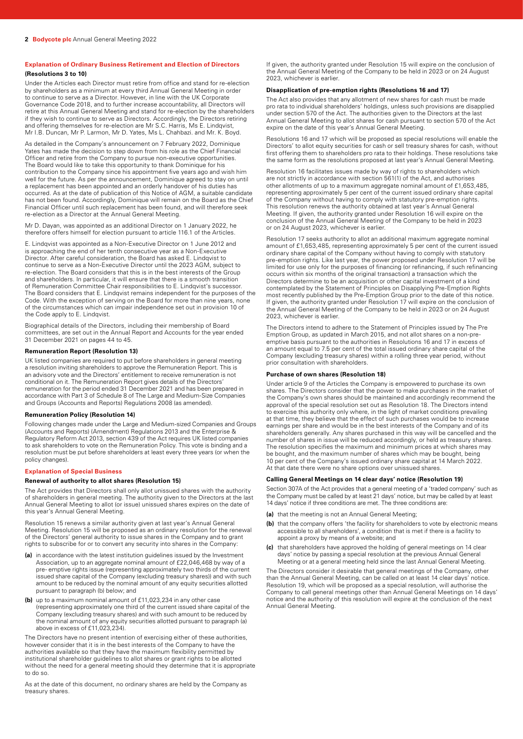## **Explanation of Ordinary Business Retirement and Election of Directors (Resolutions 3 to 10)**

Under the Articles each Director must retire from office and stand for re-election by shareholders as a minimum at every third Annual General Meeting in order to continue to serve as a Director. However, in line with the UK Corporate Governance Code 2018, and to further increase accountability, all Directors will retire at this Annual General Meeting and stand for re-election by the shareholders if they wish to continue to serve as Directors. Accordingly, the Directors retiring and offering themselves for re-election are Mr S.C. Harris, Ms E. Lindqvist, Mr I.B. Duncan, Mr P. Larmon, Mr D. Yates, Ms L. Chahbazi. and Mr. K. Boyd.

As detailed in the Company's announcement on 7 February 2022, Dominique Yates has made the decision to step down from his role as the Chief Financial Officer and retire from the Company to pursue non-executive opportunities. The Board would like to take this opportunity to thank Dominique for his contribution to the Company since his appointment five years ago and wish him well for the future. As per the announcement, Dominique agreed to stay on until a replacement has been appointed and an orderly handover of his duties has occurred. As at the date of publication of this Notice of AGM, a suitable candidate has not been found. Accordingly, Dominique will remain on the Board as the Chief Financial Officer until such replacement has been found, and will therefore seek re-election as a Director at the Annual General Meeting.

Mr D. Dayan, was appointed as an additional Director on 1 January 2022, he therefore offers himself for election pursuant to article 116.1 of the Articles.

E. Lindqvist was appointed as a Non-Executive Director on 1 June 2012 and is approaching the end of her tenth consecutive year as a Non-Executive Director. After careful consideration, the Board has asked E. Lindqvist to continue to serve as a Non-Executive Director until the 2023 AGM, subject to re-election. The Board considers that this is in the best interests of the Group and shareholders. In particular, it will ensure that there is a smooth transition of Remuneration Committee Chair responsibilities to E. Lindqvist's successor. The Board considers that E. Lindqvist remains independent for the purposes of the Code. With the exception of serving on the Board for more than nine years, none of the circumstances which can impair independence set out in provision 10 of the Code apply to E. Lindqvist.

Biographical details of the Directors, including their membership of Board committees, are set out in the Annual Report and Accounts for the year ended 31 December 2021 on pages 44 to 45.

#### **Remuneration Report (Resolution 13)**

UK listed companies are required to put before shareholders in general meeting a resolution inviting shareholders to approve the Remuneration Report. This is an advisory vote and the Directors' entitlement to receive remuneration is not conditional on it. The Remuneration Report gives details of the Directors' remuneration for the period ended 31 December 2021 and has been prepared in accordance with Part 3 of Schedule 8 of The Large and Medium-Size Companies and Groups (Accounts and Reports) Regulations 2008 (as amended).

#### **Remuneration Policy (Resolution 14)**

Following changes made under the Large and Medium-sized Companies and Groups (Accounts and Reports) (Amendment) Regulations 2013 and the Enterprise & Regulatory Reform Act 2013, section 439 of the Act requires UK listed companies to ask shareholders to vote on the Remuneration Policy. This vote is binding and a resolution must be put before shareholders at least every three years (or when the policy changes).

#### **Explanation of Special Business**

## **Renewal of authority to allot shares (Resolution 15)**

The Act provides that Directors shall only allot unissued shares with the authority of shareholders in general meeting. The authority given to the Directors at the last Annual General Meeting to allot (or issue) unissued shares expires on the date of this year's Annual General Meeting.

Resolution 15 renews a similar authority given at last year's Annual General Meeting. Resolution 15 will be proposed as an ordinary resolution for the renewal of the Directors' general authority to issue shares in the Company and to grant rights to subscribe for or to convert any security into shares in the Company:

- **(a)** in accordance with the latest institution guidelines issued by the Investment Association, up to an aggregate nominal amount of £22,046,468 by way of a pre- emptive rights issue (representing approximately two thirds of the current issued share capital of the Company (excluding treasury shares)) and with such amount to be reduced by the nominal amount of any equity securities allotted pursuant to paragraph (b) below; and
- **(b)** up to a maximum nominal amount of £11,023,234 in any other case (representing approximately one third of the current issued share capital of the Company (excluding treasury shares) and with such amount to be reduced by the nominal amount of any equity securities allotted pursuant to paragraph (a) above in excess of £11,023,234).

The Directors have no present intention of exercising either of these authorities, however consider that it is in the best interests of the Company to have the authorities available so that they have the maximum flexibility permitted by institutional shareholder guidelines to allot shares or grant rights to be allotted without the need for a general meeting should they determine that it is appropriate to do so.

As at the date of this document, no ordinary shares are held by the Company as treasury shares.

If given, the authority granted under Resolution 15 will expire on the conclusion of the Annual General Meeting of the Company to be held in 2023 or on 24 August 2023, whichever is earlier.

#### **Disapplication of pre-emption rights (Resolutions 16 and 17)**

The Act also provides that any allotment of new shares for cash must be made pro rata to individual shareholders' holdings, unless such provisions are disapplied under section 570 of the Act. The authorities given to the Directors at the last Annual General Meeting to allot shares for cash pursuant to section 570 of the Act expire on the date of this year's Annual General Meeting.

Resolutions 16 and 17 which will be proposed as special resolutions will enable the Directors' to allot equity securities for cash or sell treasury shares for cash, without first offering them to shareholders pro rata to their holdings. These resolutions take the same form as the resolutions proposed at last year's Annual General Meeting.

Resolution 16 facilitates issues made by way of rights to shareholders which are not strictly in accordance with section 561(1) of the Act, and authorises other allotments of up to a maximum aggregate nominal amount of £1,653,485, representing approximately 5 per cent of the current issued ordinary share capital of the Company without having to comply with statutory pre-emption rights. This resolution renews the authority obtained at last year's Annual General Meeting. If given, the authority granted under Resolution 16 will expire on the conclusion of the Annual General Meeting of the Company to be held in 2023 or on 24 August 2023, whichever is earlier.

Resolution 17 seeks authority to allot an additional maximum aggregate nominal amount of £1,653,485, representing approximately 5 per cent of the current issued ordinary share capital of the Company without having to comply with statutory pre-emption rights. Like last year, the power proposed under Resolution 17 will be limited for use only for the purposes of financing (or refinancing, if such refinancing occurs within six months of the original transaction) a transaction which the Directors determine to be an acquisition or other capital investment of a kind contemplated by the Statement of Principles on Disapplying Pre-Emption Rights most recently published by the Pre-Emption Group prior to the date of this notice. If given, the authority granted under Resolution 17 will expire on the conclusion of the Annual General Meeting of the Company to be held in 2023 or on 24 August 2023, whichever is earlier.

The Directors intend to adhere to the Statement of Principles issued by The Pre Emption Group, as updated in March 2015, and not allot shares on a non-preemptive basis pursuant to the authorities in Resolutions 16 and 17 in excess of an amount equal to 7.5 per cent of the total issued ordinary share capital of the Company (excluding treasury shares) within a rolling three year period, without prior consultation with shareholders.

#### **Purchase of own shares (Resolution 18)**

Under article 9 of the Articles the Company is empowered to purchase its own shares. The Directors consider that the power to make purchases in the market of the Company's own shares should be maintained and accordingly recommend the approval of the special resolution set out as Resolution 18. The Directors intend to exercise this authority only where, in the light of market conditions prevailing at that time, they believe that the effect of such purchases would be to increase earnings per share and would be in the best interests of the Company and of its shareholders generally. Any shares purchased in this way will be cancelled and the number of shares in issue will be reduced accordingly, or held as treasury shares. The resolution specifies the maximum and minimum prices at which shares may be bought, and the maximum number of shares which may be bought, being 10 per cent of the Company's issued ordinary share capital at 14 March 2022. At that date there were no share options over unissued shares.

#### **Calling General Meetings on 14 clear days' notice (Resolution 19)**

Section 307A of the Act provides that a general meeting of a 'traded company' such as the Company must be called by at least 21 days' notice, but may be called by at least 14 days' notice if three conditions are met. The three conditions are:

- **(a)** that the meeting is not an Annual General Meeting;
- **(b)** that the company offers 'the facility for shareholders to vote by electronic means accessible to all shareholders', a condition that is met if there is a facility to appoint a proxy by means of a website; and
- **(c)** that shareholders have approved the holding of general meetings on 14 clear days' notice by passing a special resolution at the previous Annual General Meeting or at a general meeting held since the last Annual General Meeting.

The Directors consider it desirable that general meetings of the Company, other than the Annual General Meeting, can be called on at least 14 clear days' notice. Resolution 19, which will be proposed as a special resolution, will authorise the Company to call general meetings other than Annual General Meetings on 14 days' notice and the authority of this resolution will expire at the conclusion of the next Annual General Meeting.